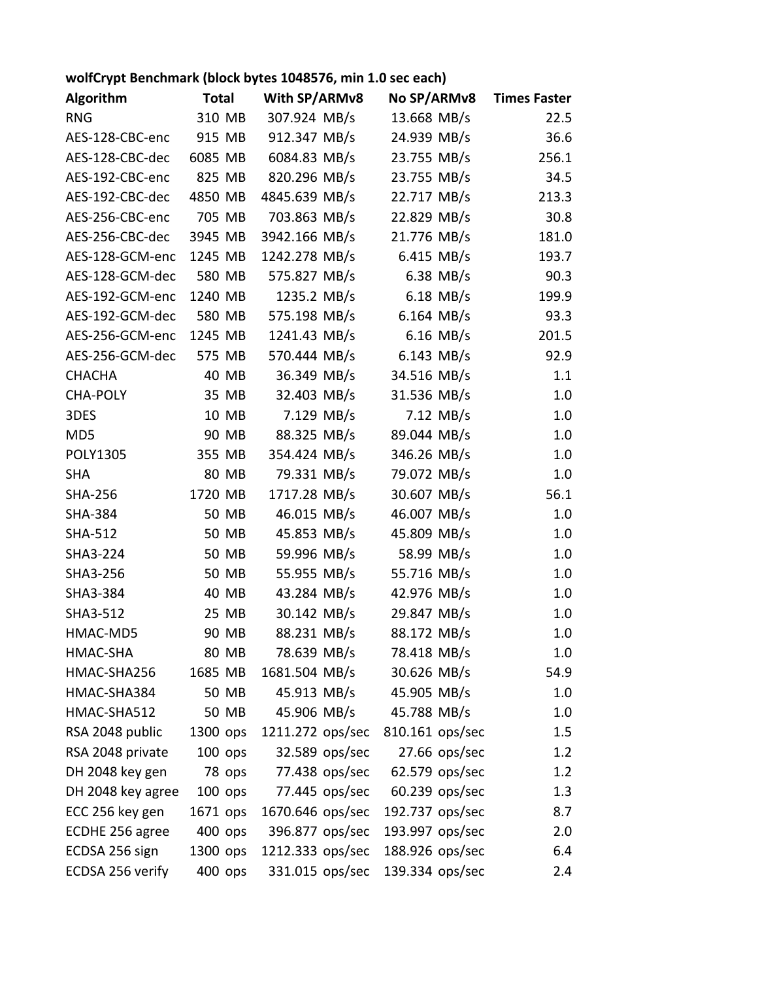## wolfCrypt Benchmark (block bytes 1048576, min 1.0 sec each)

| <b>Algorithm</b>  | <b>Total</b> |        | With SP/ARMv8    | No SP/ARMv8    |                 |                | <b>Times Faster</b> |  |
|-------------------|--------------|--------|------------------|----------------|-----------------|----------------|---------------------|--|
| <b>RNG</b>        | 310 MB       |        | 307.924 MB/s     |                | 13.668 MB/s     |                | 22.5                |  |
| AES-128-CBC-enc   | 915 MB       |        | 912.347 MB/s     |                | 24.939 MB/s     |                | 36.6                |  |
| AES-128-CBC-dec   | 6085 MB      |        | 6084.83 MB/s     |                | 23.755 MB/s     |                | 256.1               |  |
| AES-192-CBC-enc   | 825 MB       |        | 820.296 MB/s     |                | 23.755 MB/s     |                | 34.5                |  |
| AES-192-CBC-dec   | 4850 MB      |        | 4845.639 MB/s    |                | 22.717 MB/s     |                | 213.3               |  |
| AES-256-CBC-enc   | 705 MB       |        | 703.863 MB/s     |                | 22.829 MB/s     |                | 30.8                |  |
| AES-256-CBC-dec   | 3945 MB      |        | 3942.166 MB/s    |                | 21.776 MB/s     |                | 181.0               |  |
| AES-128-GCM-enc   | 1245 MB      |        | 1242.278 MB/s    |                | 6.415 MB/s      |                | 193.7               |  |
| AES-128-GCM-dec   | 580 MB       |        | 575.827 MB/s     |                |                 | $6.38$ MB/s    | 90.3                |  |
| AES-192-GCM-enc   | 1240 MB      |        | 1235.2 MB/s      |                |                 | $6.18$ MB/s    | 199.9               |  |
| AES-192-GCM-dec   | 580 MB       |        | 575.198 MB/s     |                | $6.164$ MB/s    |                | 93.3                |  |
| AES-256-GCM-enc   | 1245 MB      |        | 1241.43 MB/s     |                |                 | $6.16$ MB/s    | 201.5               |  |
| AES-256-GCM-dec   | 575 MB       |        | 570.444 MB/s     |                | $6.143$ MB/s    |                | 92.9                |  |
| <b>CHACHA</b>     |              | 40 MB  | 36.349 MB/s      |                | 34.516 MB/s     |                | 1.1                 |  |
| <b>CHA-POLY</b>   |              | 35 MB  | 32.403 MB/s      |                | 31.536 MB/s     |                | 1.0                 |  |
| 3DES              |              | 10 MB  |                  | 7.129 MB/s     |                 | $7.12$ MB/s    | 1.0                 |  |
| MD5               |              | 90 MB  | 88.325 MB/s      |                | 89.044 MB/s     |                | 1.0                 |  |
| POLY1305          | 355 MB       |        | 354.424 MB/s     |                | 346.26 MB/s     |                | 1.0                 |  |
| <b>SHA</b>        |              | 80 MB  | 79.331 MB/s      |                | 79.072 MB/s     |                | 1.0                 |  |
| <b>SHA-256</b>    | 1720 MB      |        | 1717.28 MB/s     |                | 30.607 MB/s     |                | 56.1                |  |
| <b>SHA-384</b>    |              | 50 MB  | 46.015 MB/s      |                | 46.007 MB/s     |                | 1.0                 |  |
| <b>SHA-512</b>    |              | 50 MB  | 45.853 MB/s      |                | 45.809 MB/s     |                | 1.0                 |  |
| SHA3-224          |              | 50 MB  | 59.996 MB/s      |                | 58.99 MB/s      |                | 1.0                 |  |
| SHA3-256          |              | 50 MB  | 55.955 MB/s      |                | 55.716 MB/s     |                | 1.0                 |  |
| SHA3-384          |              | 40 MB  | 43.284 MB/s      |                | 42.976 MB/s     |                | 1.0                 |  |
| SHA3-512          |              | 25 MB  | 30.142 MB/s      |                | 29.847 MB/s     |                | 1.0                 |  |
| HMAC-MD5          |              | 90 MB  | 88.231 MB/s      |                | 88.172 MB/s     |                | 1.0                 |  |
| HMAC-SHA          |              | 80 MB  | 78.639 MB/s      |                | 78.418 MB/s     |                | 1.0                 |  |
| HMAC-SHA256       | 1685 MB      |        | 1681.504 MB/s    |                | 30.626 MB/s     |                | 54.9                |  |
| HMAC-SHA384       |              | 50 MB  | 45.913 MB/s      |                | 45.905 MB/s     |                | $1.0\,$             |  |
| HMAC-SHA512       |              | 50 MB  | 45.906 MB/s      |                | 45.788 MB/s     |                | 1.0                 |  |
| RSA 2048 public   | 1300 ops     |        | 1211.272 ops/sec |                | 810.161 ops/sec |                | 1.5                 |  |
| RSA 2048 private  | 100 ops      |        |                  | 32.589 ops/sec |                 | 27.66 ops/sec  | 1.2                 |  |
| DH 2048 key gen   |              | 78 ops |                  | 77.438 ops/sec |                 | 62.579 ops/sec | 1.2                 |  |
| DH 2048 key agree | $100$ ops    |        |                  | 77.445 ops/sec |                 | 60.239 ops/sec | 1.3                 |  |
| ECC 256 key gen   | 1671 ops     |        | 1670.646 ops/sec |                | 192.737 ops/sec |                | 8.7                 |  |
| ECDHE 256 agree   | 400 ops      |        | 396.877 ops/sec  |                | 193.997 ops/sec |                | 2.0                 |  |
| ECDSA 256 sign    | 1300 ops     |        | 1212.333 ops/sec |                | 188.926 ops/sec |                | 6.4                 |  |
| ECDSA 256 verify  | 400 ops      |        | 331.015 ops/sec  |                | 139.334 ops/sec |                | 2.4                 |  |